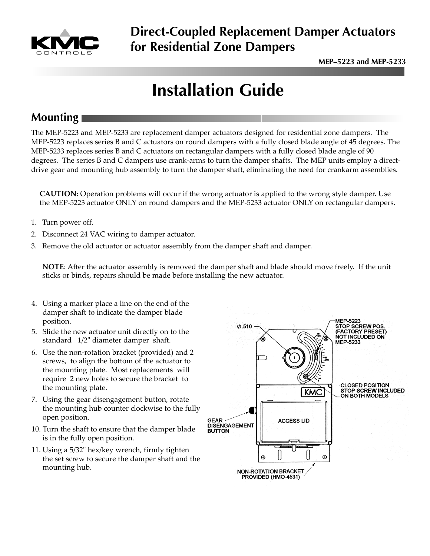

# **Direct-Coupled Replacement Damper Actuators for Residential Zone Dampers**

# **Installation Guide**

## **Mounting**

The MEP-5223 and MEP-5233 are replacement damper actuators designed for residential zone dampers. The MEP-5223 replaces series B and C actuators on round dampers with a fully closed blade angle of 45 degrees. The MEP-5233 replaces series B and C actuators on rectangular dampers with a fully closed blade angle of 90 degrees. The series B and C dampers use crank-arms to turn the damper shafts. The MEP units employ a directdrive gear and mounting hub assembly to turn the damper shaft, eliminating the need for crankarm assemblies.

**CAUTION:** Operation problems will occur if the wrong actuator is applied to the wrong style damper. Use the MEP-5223 actuator ONLY on round dampers and the MEP-5233 actuator ONLY on rectangular dampers.

- 1. Turn power off.
- 2. Disconnect 24 VAC wiring to damper actuator.
- 3. Remove the old actuator or actuator assembly from the damper shaft and damper.

**NOTE**: After the actuator assembly is removed the damper shaft and blade should move freely. If the unit sticks or binds, repairs should be made before installing the new actuator.

- 4. Using a marker place a line on the end of the damper shaft to indicate the damper blade position.
- 5. Slide the new actuator unit directly on to the standard 1/2" diameter damper shaft.
- 6. Use the non-rotation bracket (provided) and 2 screws, to align the bottom of the actuator to the mounting plate. Most replacements will require 2 new holes to secure the bracket to the mounting plate.
- 7. Using the gear disengagement button, rotate the mounting hub counter clockwise to the fully open position.
- 10. Turn the shaft to ensure that the damper blade is in the fully open position.
- 11. Using a 5/32" hex/key wrench, firmly tighten the set screw to secure the damper shaft and the mounting hub.